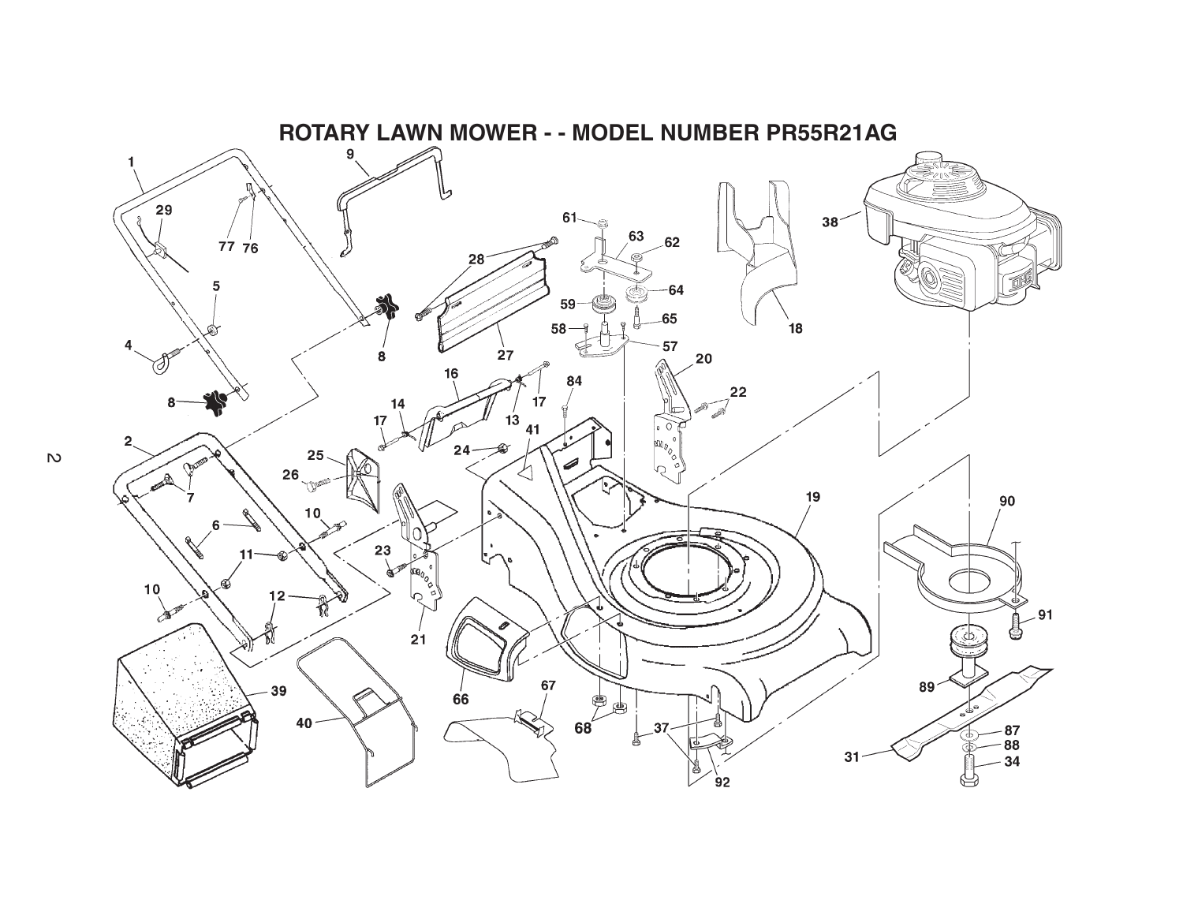

 $\overline{v}$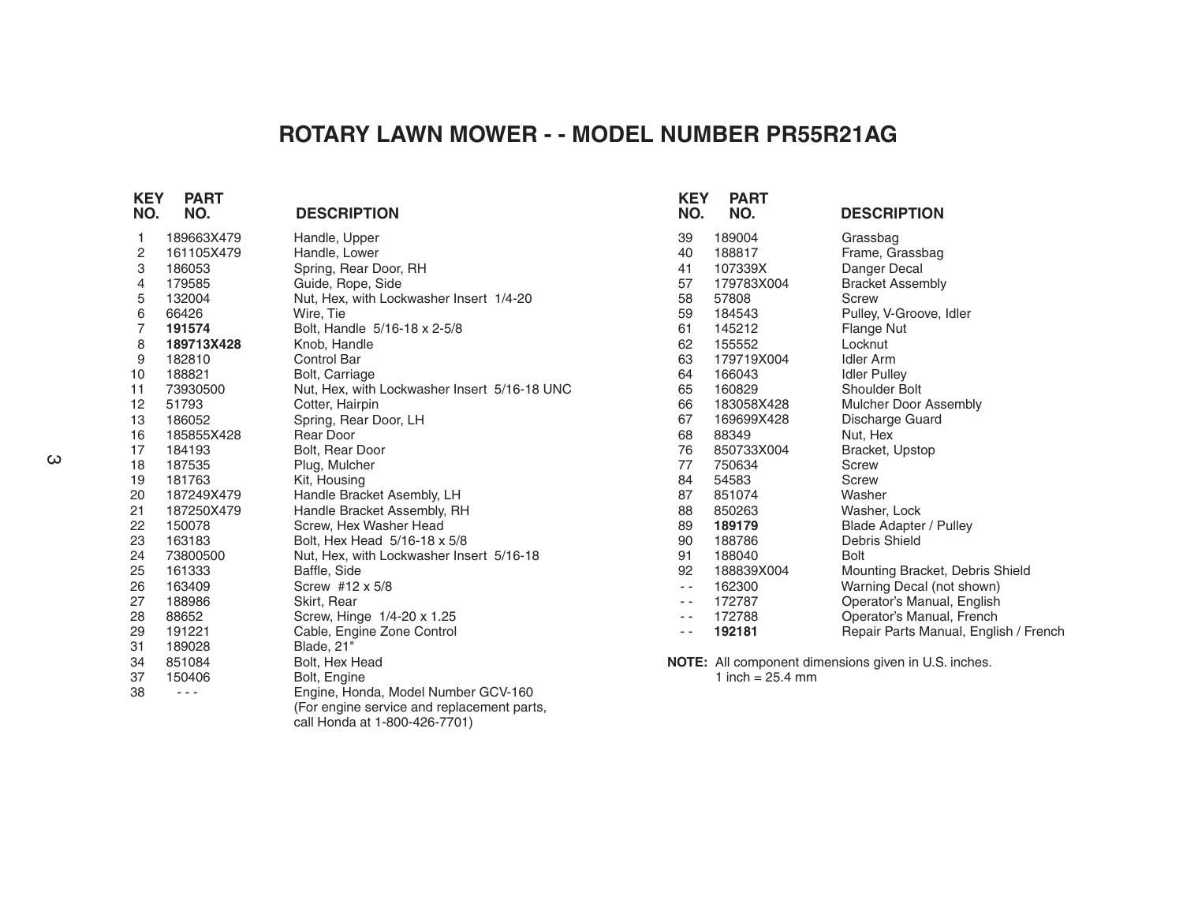## **ROTARY LAWN MOWER - - MODEL NUMBER PR55R21AG**

| <b>KEY</b><br>NO. | <b>PART</b><br>NO. | <b>DESCRIPTION</b>                           | <b>KEY</b><br>NO. | <b>PART</b><br>NO. | <b>DESCRIPTION</b>                                   |
|-------------------|--------------------|----------------------------------------------|-------------------|--------------------|------------------------------------------------------|
| 1                 | 189663X479         | Handle, Upper                                | 39                | 189004             | Grassbag                                             |
| 2                 | 161105X479         | Handle, Lower                                | 40                | 188817             | Frame, Grassbag                                      |
| 3                 | 186053             | Spring, Rear Door, RH                        | 41                | 107339X            | Danger Decal                                         |
| 4                 | 179585             | Guide, Rope, Side                            | 57                | 179783X004         | <b>Bracket Assembly</b>                              |
| 5                 | 132004             | Nut, Hex, with Lockwasher Insert 1/4-20      | 58                | 57808              | <b>Screw</b>                                         |
| 6                 | 66426              | Wire, Tie                                    | 59                | 184543             | Pulley, V-Groove, Idler                              |
| $\overline{7}$    | 191574             | Bolt, Handle 5/16-18 x 2-5/8                 | 61                | 145212             | Flange Nut                                           |
| 8                 | 189713X428         | Knob, Handle                                 | 62                | 155552             | Locknut                                              |
| 9                 | 182810             | Control Bar                                  | 63                | 179719X004         | <b>Idler Arm</b>                                     |
| 10                | 188821             | <b>Bolt, Carriage</b>                        | 64                | 166043             | <b>Idler Pulley</b>                                  |
| 11                | 73930500           | Nut, Hex, with Lockwasher Insert 5/16-18 UNC | 65                | 160829             | Shoulder Bolt                                        |
| 12                | 51793              | Cotter, Hairpin                              | 66                | 183058X428         | Mulcher Door Assembly                                |
| 13                | 186052             | Spring, Rear Door, LH                        | 67                | 169699X428         | Discharge Guard                                      |
| 16                | 185855X428         | Rear Door                                    | 68                | 88349              | Nut, Hex                                             |
| 17                | 184193             | Bolt, Rear Door                              | 76                | 850733X004         | Bracket, Upstop                                      |
| 18                | 187535             | Plug, Mulcher                                | 77                | 750634             | Screw                                                |
| 19                | 181763             | Kit, Housing                                 | 84                | 54583              | <b>Screw</b>                                         |
| 20                | 187249X479         | Handle Bracket Asembly, LH                   | 87                | 851074             | Washer                                               |
| 21                | 187250X479         | Handle Bracket Assembly, RH                  | 88                | 850263             | Washer, Lock                                         |
| 22                | 150078             | Screw. Hex Washer Head                       | 89                | 189179             | <b>Blade Adapter / Pulley</b>                        |
| 23                | 163183             | Bolt, Hex Head 5/16-18 x 5/8                 | 90                | 188786             | Debris Shield                                        |
| 24                | 73800500           | Nut, Hex, with Lockwasher Insert 5/16-18     | 91                | 188040             | <b>Bolt</b>                                          |
| 25                | 161333             | Baffle, Side                                 | 92                | 188839X004         | Mounting Bracket, Debris Shield                      |
| 26                | 163409             | Screw #12 x 5/8                              | $\sim$ $\sim$     | 162300             | Warning Decal (not shown)                            |
| 27                | 188986             | Skirt, Rear                                  | $- -$             | 172787             | Operator's Manual, English                           |
| 28                | 88652              | Screw, Hinge 1/4-20 x 1.25                   | $ -$              | 172788             | Operator's Manual, French                            |
| 29                | 191221             | Cable, Engine Zone Control                   |                   | 192181             | Repair Parts Manual, English / French                |
| 31                | 189028             | Blade, 21"                                   |                   |                    |                                                      |
| 34                | 851084             | Bolt, Hex Head                               |                   |                    | NOTE: All component dimensions given in U.S. inches. |
| 37                | 150406             | Bolt, Engine                                 |                   | 1 inch = $25.4$ mm |                                                      |
| 38                | $- - -$            | Engine, Honda, Model Number GCV-160          |                   |                    |                                                      |
|                   |                    | (For engine service and replacement parts,   |                   |                    |                                                      |
|                   |                    | call Honda at 1-800-426-7701)                |                   |                    |                                                      |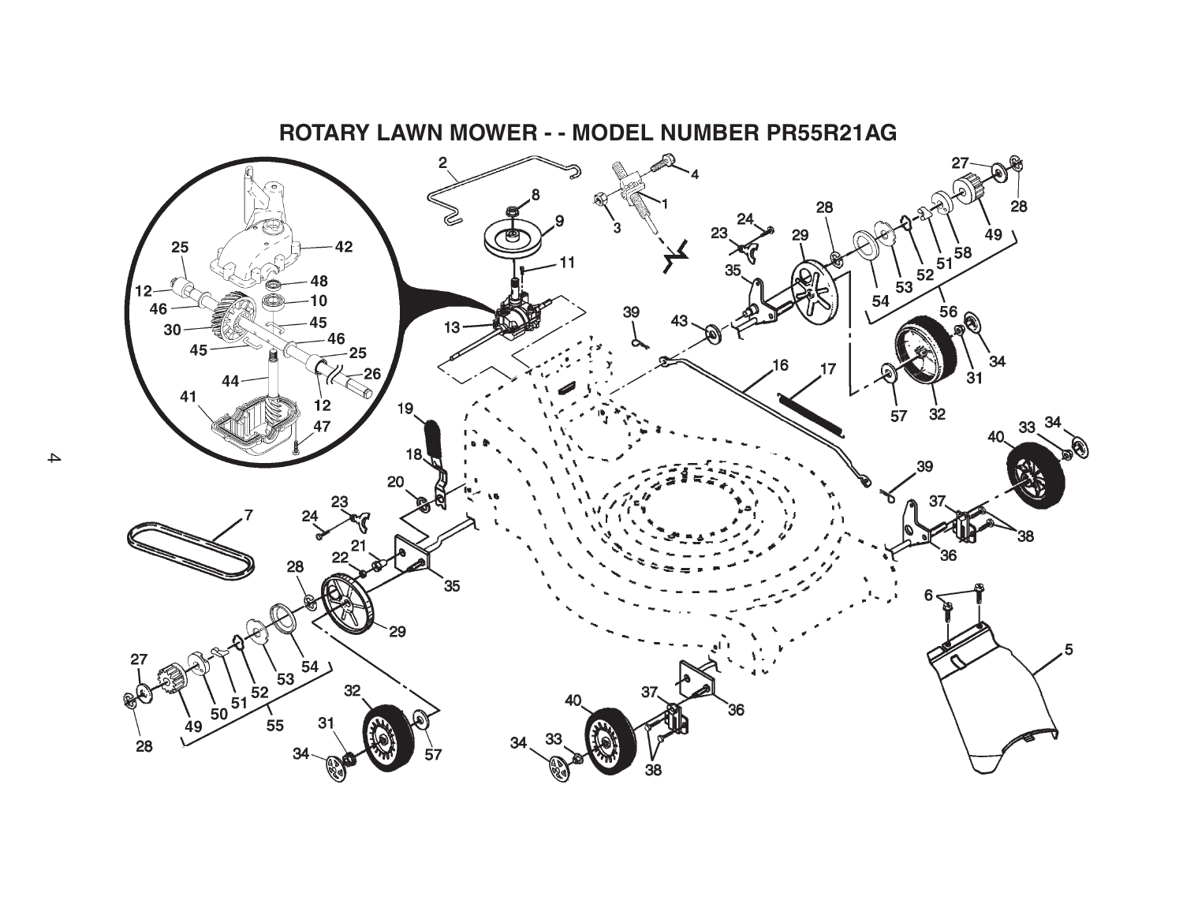

**ROTARY LAWN MOWER - - MODEL NUMBER PR55R21AG**

 $\blacktriangle$